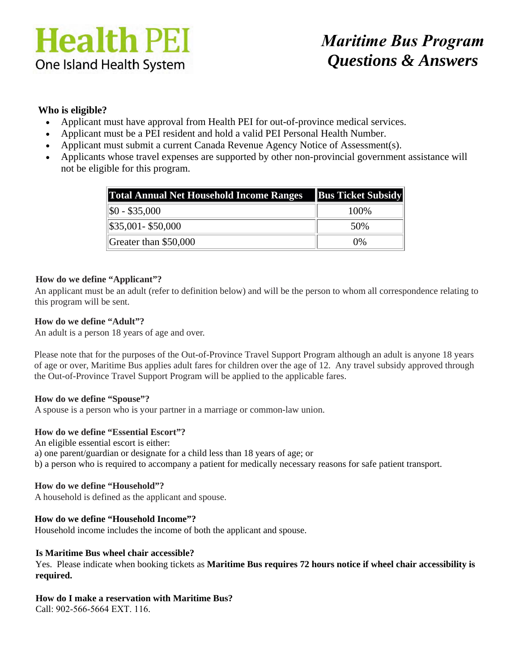# **Health PEI** One Island Health System

## *Maritime Bus Program Questions & Answers*

### **Who is eligible?**

- Applicant must have approval from Health PEI for out-of-province medical services.
- Applicant must be a PEI resident and hold a valid PEI Personal Health Number.
- Applicant must submit a current Canada Revenue Agency Notice of Assessment(s).
- Applicants whose travel expenses are supported by other non-provincial government assistance will not be eligible for this program.

| <b>Total Annual Net Household Income Ranges</b> Bus Ticket Subsidy |       |  |  |
|--------------------------------------------------------------------|-------|--|--|
| $ \$0 - \$35,000$                                                  | 100\% |  |  |
| \$35,001- \$50,000                                                 | 50%   |  |  |
| Greater than \$50,000                                              | $0\%$ |  |  |

#### **How do we define "Applicant"?**

An applicant must be an adult (refer to definition below) and will be the person to whom all correspondence relating to this program will be sent.

#### **How do we define "Adult"?**

An adult is a person 18 years of age and over.

Please note that for the purposes of the Out-of-Province Travel Support Program although an adult is anyone 18 years of age or over, Maritime Bus applies adult fares for children over the age of 12. Any travel subsidy approved through the Out-of-Province Travel Support Program will be applied to the applicable fares.

#### **How do we define "Spouse"?**

A spouse is a person who is your partner in a marriage or common-law union.

#### **How do we define "Essential Escort"?**

An eligible essential escort is either: a) one parent/guardian or designate for a child less than 18 years of age; or b) a person who is required to accompany a patient for medically necessary reasons for safe patient transport.

#### **How do we define "Household"?**

A household is defined as the applicant and spouse.

#### **How do we define "Household Income"?**

Household income includes the income of both the applicant and spouse.

#### **Is Maritime Bus wheel chair accessible?**

Yes. Please indicate when booking tickets as **Maritime Bus requires 72 hours notice if wheel chair accessibility is required.** 

#### **How do I make a reservation with Maritime Bus?**

Call: 902-566-5664 EXT. 116.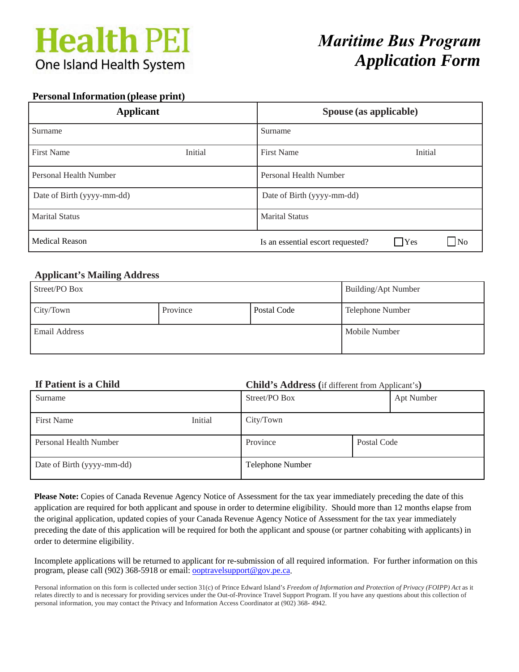# **Health PEI One Island Health System**

## *Maritime Bus Program Application Form*

#### **Personal Information (please print)**

| <b>Applicant</b>           |         | Spouse (as applicable)            |            |                |
|----------------------------|---------|-----------------------------------|------------|----------------|
| Surname                    |         | Surname                           |            |                |
| <b>First Name</b>          | Initial | <b>First Name</b>                 | Initial    |                |
| Personal Health Number     |         | Personal Health Number            |            |                |
| Date of Birth (yyyy-mm-dd) |         | Date of Birth (yyyy-mm-dd)        |            |                |
| <b>Marital Status</b>      |         | <b>Marital Status</b>             |            |                |
| <b>Medical Reason</b>      |         | Is an essential escort requested? | $\Box$ Yes | N <sub>0</sub> |

### **Applicant's Mailing Address**

| Street/PO Box |          |             | Building/Apt Number     |
|---------------|----------|-------------|-------------------------|
| City/Town     | Province | Postal Code | <b>Telephone Number</b> |
| Email Address |          |             | Mobile Number           |

### **If Patient is a Child Child's Address (**if different from Applicant's**)** Surname Apt Number 3 and Street/PO Box Apt Number First Name Initial City/Town

| Personal Health Number     | Province         | Postal Code |
|----------------------------|------------------|-------------|
| Date of Birth (yyyy-mm-dd) | Telephone Number |             |

**Please Note:** Copies of Canada Revenue Agency Notice of Assessment for the tax year immediately preceding the date of this application are required for both applicant and spouse in order to determine eligibility. Should more than 12 months elapse from the original application, updated copies of your Canada Revenue Agency Notice of Assessment for the tax year immediately preceding the date of this application will be required for both the applicant and spouse (or partner cohabiting with applicants) in order to determine eligibility.

Incomplete applications will be returned to applicant for re-submission of all required information. For further information on this program, please call (902) 368-5918 or email: ooptravelsupport@gov.pe.ca.

Personal information on this form is collected under section 31(c) of Prince Edward Island's *Freedom of Information and Protection of Privacy (FOIPP) Act* as it relates directly to and is necessary for providing services under the Out-of-Province Travel Support Program. If you have any questions about this collection of personal information, you may contact the Privacy and Information Access Coordinator at (902) 368- 4942.